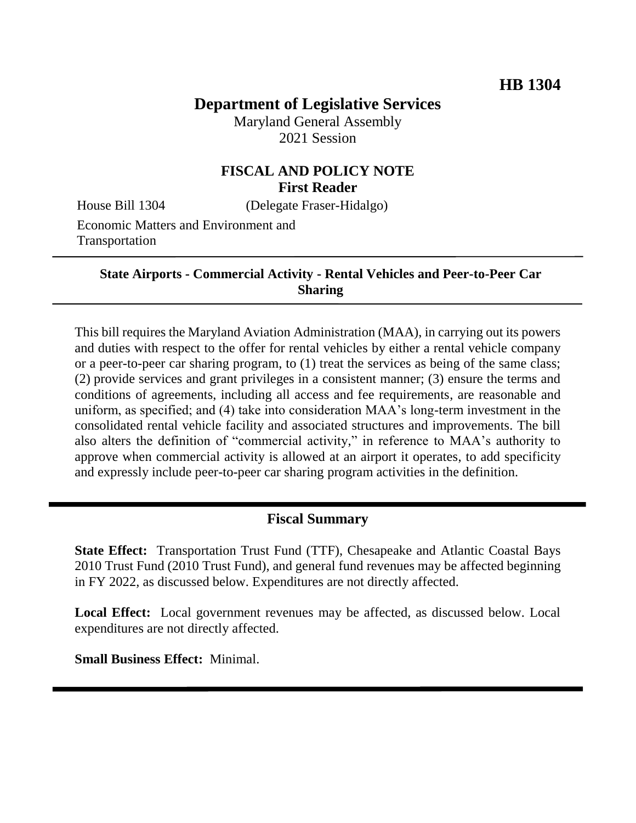# **Department of Legislative Services**

Maryland General Assembly 2021 Session

## **FISCAL AND POLICY NOTE First Reader**

House Bill 1304 (Delegate Fraser-Hidalgo)

Economic Matters and Environment and Transportation

> **State Airports - Commercial Activity - Rental Vehicles and Peer-to-Peer Car Sharing**

This bill requires the Maryland Aviation Administration (MAA), in carrying out its powers and duties with respect to the offer for rental vehicles by either a rental vehicle company or a peer-to-peer car sharing program, to (1) treat the services as being of the same class; (2) provide services and grant privileges in a consistent manner; (3) ensure the terms and conditions of agreements, including all access and fee requirements, are reasonable and uniform, as specified; and (4) take into consideration MAA's long-term investment in the consolidated rental vehicle facility and associated structures and improvements. The bill also alters the definition of "commercial activity," in reference to MAA's authority to approve when commercial activity is allowed at an airport it operates, to add specificity and expressly include peer-to-peer car sharing program activities in the definition.

## **Fiscal Summary**

**State Effect:** Transportation Trust Fund (TTF), Chesapeake and Atlantic Coastal Bays 2010 Trust Fund (2010 Trust Fund), and general fund revenues may be affected beginning in FY 2022, as discussed below. Expenditures are not directly affected.

**Local Effect:** Local government revenues may be affected, as discussed below. Local expenditures are not directly affected.

**Small Business Effect:** Minimal.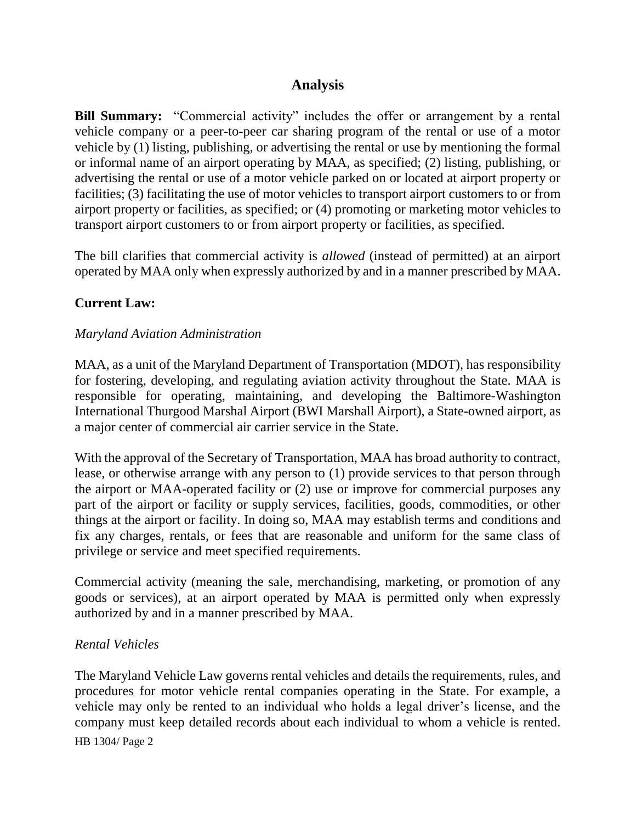## **Analysis**

**Bill Summary:** "Commercial activity" includes the offer or arrangement by a rental vehicle company or a peer-to-peer car sharing program of the rental or use of a motor vehicle by (1) listing, publishing, or advertising the rental or use by mentioning the formal or informal name of an airport operating by MAA, as specified; (2) listing, publishing, or advertising the rental or use of a motor vehicle parked on or located at airport property or facilities; (3) facilitating the use of motor vehicles to transport airport customers to or from airport property or facilities, as specified; or (4) promoting or marketing motor vehicles to transport airport customers to or from airport property or facilities, as specified.

The bill clarifies that commercial activity is *allowed* (instead of permitted) at an airport operated by MAA only when expressly authorized by and in a manner prescribed by MAA.

## **Current Law:**

#### *Maryland Aviation Administration*

MAA, as a unit of the Maryland Department of Transportation (MDOT), has responsibility for fostering, developing, and regulating aviation activity throughout the State. MAA is responsible for operating, maintaining, and developing the Baltimore-Washington International Thurgood Marshal Airport (BWI Marshall Airport), a State-owned airport, as a major center of commercial air carrier service in the State.

With the approval of the Secretary of Transportation, MAA has broad authority to contract, lease, or otherwise arrange with any person to (1) provide services to that person through the airport or MAA-operated facility or (2) use or improve for commercial purposes any part of the airport or facility or supply services, facilities, goods, commodities, or other things at the airport or facility. In doing so, MAA may establish terms and conditions and fix any charges, rentals, or fees that are reasonable and uniform for the same class of privilege or service and meet specified requirements.

Commercial activity (meaning the sale, merchandising, marketing, or promotion of any goods or services), at an airport operated by MAA is permitted only when expressly authorized by and in a manner prescribed by MAA.

#### *Rental Vehicles*

HB 1304/ Page 2 The Maryland Vehicle Law governs rental vehicles and details the requirements, rules, and procedures for motor vehicle rental companies operating in the State. For example, a vehicle may only be rented to an individual who holds a legal driver's license, and the company must keep detailed records about each individual to whom a vehicle is rented.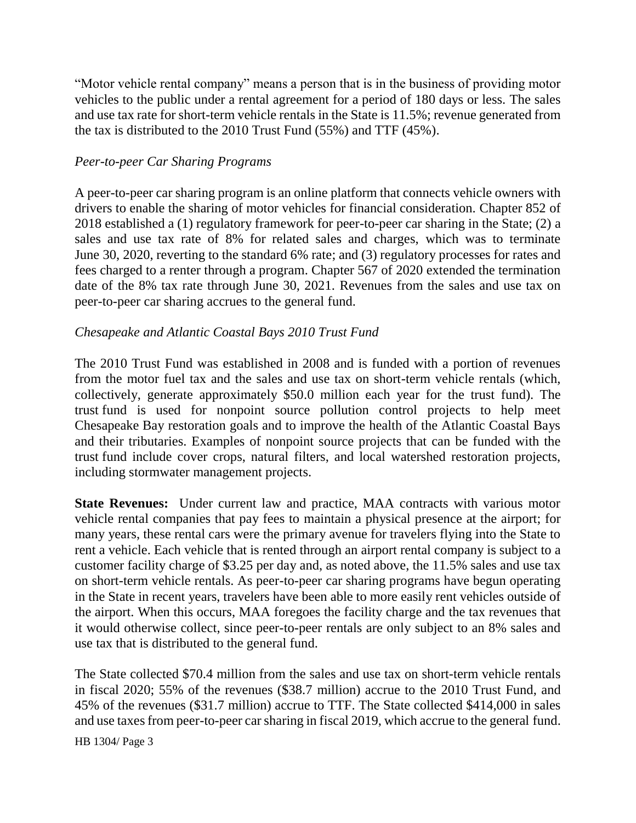"Motor vehicle rental company" means a person that is in the business of providing motor vehicles to the public under a rental agreement for a period of 180 days or less. The sales and use tax rate for short-term vehicle rentals in the State is 11.5%; revenue generated from the tax is distributed to the 2010 Trust Fund (55%) and TTF (45%).

#### *Peer-to-peer Car Sharing Programs*

A peer-to-peer car sharing program is an online platform that connects vehicle owners with drivers to enable the sharing of motor vehicles for financial consideration. Chapter 852 of 2018 established a (1) regulatory framework for peer-to-peer car sharing in the State; (2) a sales and use tax rate of 8% for related sales and charges, which was to terminate June 30, 2020, reverting to the standard 6% rate; and (3) regulatory processes for rates and fees charged to a renter through a program. Chapter 567 of 2020 extended the termination date of the 8% tax rate through June 30, 2021. Revenues from the sales and use tax on peer-to-peer car sharing accrues to the general fund.

## *Chesapeake and Atlantic Coastal Bays 2010 Trust Fund*

The 2010 Trust Fund was established in 2008 and is funded with a portion of revenues from the motor fuel tax and the sales and use tax on short-term vehicle rentals (which, collectively, generate approximately \$50.0 million each year for the trust fund). The trust fund is used for nonpoint source pollution control projects to help meet Chesapeake Bay restoration goals and to improve the health of the Atlantic Coastal Bays and their tributaries. Examples of nonpoint source projects that can be funded with the trust fund include cover crops, natural filters, and local watershed restoration projects, including stormwater management projects.

**State Revenues:** Under current law and practice, MAA contracts with various motor vehicle rental companies that pay fees to maintain a physical presence at the airport; for many years, these rental cars were the primary avenue for travelers flying into the State to rent a vehicle. Each vehicle that is rented through an airport rental company is subject to a customer facility charge of \$3.25 per day and, as noted above, the 11.5% sales and use tax on short-term vehicle rentals. As peer-to-peer car sharing programs have begun operating in the State in recent years, travelers have been able to more easily rent vehicles outside of the airport. When this occurs, MAA foregoes the facility charge and the tax revenues that it would otherwise collect, since peer-to-peer rentals are only subject to an 8% sales and use tax that is distributed to the general fund.

The State collected \$70.4 million from the sales and use tax on short-term vehicle rentals in fiscal 2020; 55% of the revenues (\$38.7 million) accrue to the 2010 Trust Fund, and 45% of the revenues (\$31.7 million) accrue to TTF. The State collected \$414,000 in sales and use taxes from peer-to-peer car sharing in fiscal 2019, which accrue to the general fund.

HB 1304/ Page 3